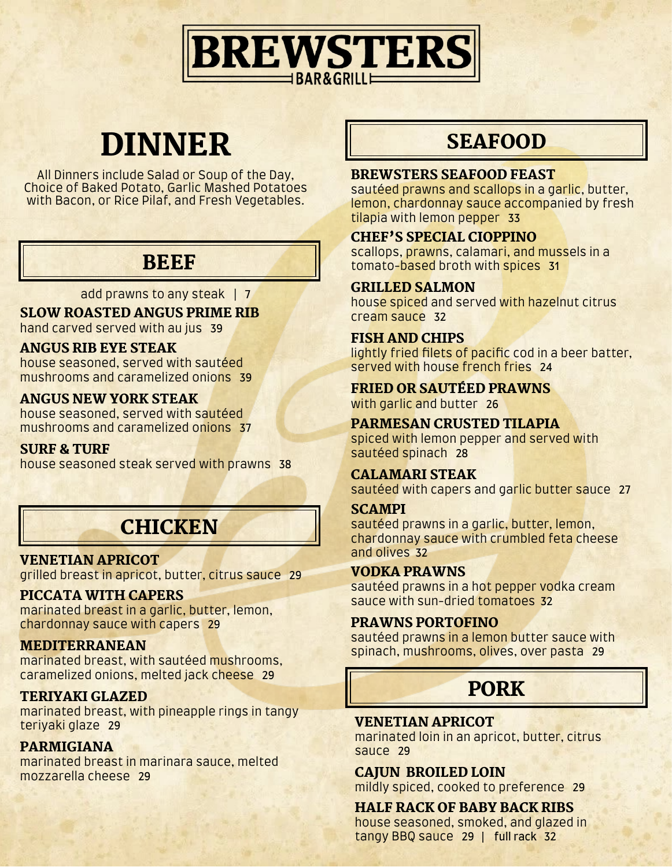

# DINNER

All Dinners include Salad or Soup of the Day, Choice of Baked Potato, Garlic Mashed Potatoes with Bacon, or Rice Pilaf, and Fresh Vegetables.

## **BEEF**

add prawns to any steak | 7

SLOW ROASTED ANGUS PRIME RIB hand carved served with au jus 39

#### ANGUS RIB EYE STEAK

house seasoned, served with sautéed mushrooms and caramelized onions 39

#### ANGUS NEW YORK STEAK

house seasoned, served with sautéed mushrooms and caramelized onions 37

#### SURF & TURF

house seasoned steak served with prawns 38

## **CHICKEN**

#### VENETIAN APRICOT

grilled breast in apricot, butter, citrus sauce 29

#### PICCATA WITH CAPERS

marinated breast in a garlic, butter, lemon, chardonnay sauce with capers 29

#### MEDITERRANEAN

marinated breast, with sautéed mushrooms, caramelized onions, melted jack cheese 29

#### TERIYAKI GLAZED

marinated breast, with pineapple rings in tangy teriyaki glaze 29

#### PARMIGIANA

marinated breast in marinara sauce, melted mozzarella cheese 29

## **SEAFOOD**

#### BREWSTERS SEAFOOD FEAST

sautéed prawns and scallops in a garlic, butter, lemon, chardonnay sauce accompanied by fresh tilapia with lemon pepper 33

#### CHEF'S SPECIAL CIOPPINO

scallops, prawns, calamari, and mussels in a tomato-based broth with spices 31

#### GRILLED SALMON

house spiced and served with hazelnut citrus cream sauce 32

#### FISH AND CHIPS

lightly fried filets of pacific cod in a beer batter, served with house french fries 24

#### FRIED OR SAUTÉED PRAWNS

with garlic and butter 26

#### PARMESAN CRUSTED TILAPIA

spiced with lemon pepper and served with sautéed spinach 28

#### CALAMARI STEAK

sautéed with capers and garlic butter sauce 27

#### **SCAMPI**

sautéed prawns in a garlic, butter, lemon, chardonnay sauce with crumbled feta cheese and olives 32

#### VODKA PRAWNS

sautéed prawns in a hot pepper vodka cream sauce with sun-dried tomatoes 32

#### PRAWNS PORTOFINO

sautéed prawns in a lemon butter sauce with spinach, mushrooms, olives, over pasta 29

## PORK

#### VENETIAN APRICOT

marinated loin in an apricot, butter, citrus sauce 29

#### CAJUN BROILED LOIN

mildly spiced, cooked to preference 29

#### HALF RACK OF BABY BACK RIBS

house seasoned, smoked, and glazed in tangy BBQ sauce 29 | full rack 32